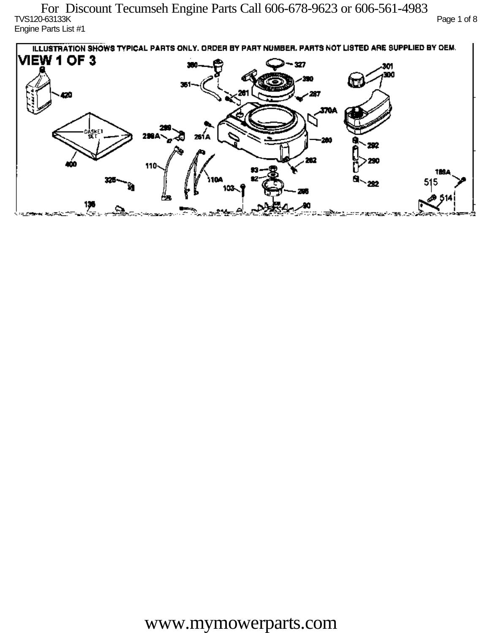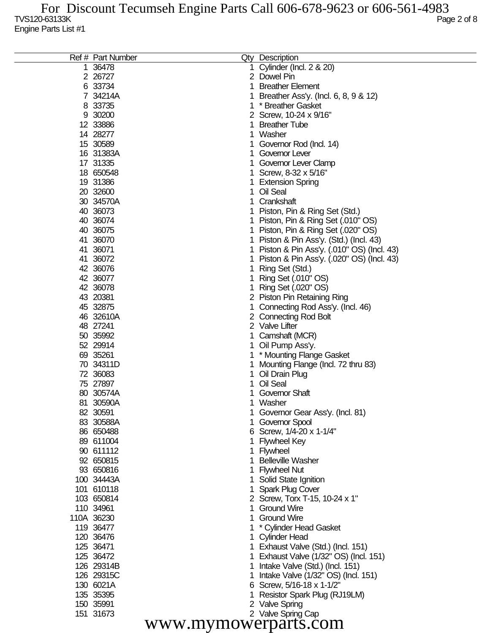| 36478<br>Cylinder (Incl. 2 & 20)<br>2 26727<br>2 Dowel Pin<br>33734<br><b>Breather Element</b><br>6<br>34214A<br>Breather Ass'y. (Incl. 6, 8, 9 & 12)<br>8 33735<br>* Breather Gasket<br>30200<br>2 Screw, 10-24 x 9/16"<br>9<br>12 33886<br><b>Breather Tube</b><br>14 28277<br>Washer<br>15 30589<br>Governor Rod (Incl. 14)<br>16 31383A<br>Governor Lever<br>17 31335<br>Governor Lever Clamp<br>18 650548<br>Screw, 8-32 x 5/16"<br>19 31386<br><b>Extension Spring</b><br>20 32600<br>Oil Seal<br>30 34570A<br>Crankshaft<br>40 36073<br>Piston, Pin & Ring Set (Std.)<br>40 36074<br>Piston, Pin & Ring Set (.010" OS)<br>40 36075<br>1 Piston, Pin & Ring Set (.020" OS)<br>41 36070<br>1 Piston & Pin Ass'y. (Std.) (Incl. 43)<br>41 36071<br>Piston & Pin Ass'y. (.010" OS) (Incl. 43)<br>41 36072<br>Piston & Pin Ass'y. (.020" OS) (Incl. 43)<br>42 36076<br>Ring Set (Std.)<br>42 36077<br>Ring Set (.010" OS)<br>42 36078<br>Ring Set (.020" OS)<br>43 20381<br>2 Piston Pin Retaining Ring<br>45 32875<br>Connecting Rod Ass'y. (Incl. 46)<br>46 32610A<br>2 Connecting Rod Bolt<br>48 27241<br>2 Valve Lifter<br>50 35992<br>Camshaft (MCR)<br>52 29914<br>Oil Pump Ass'y.<br>69 35261<br>* Mounting Flange Gasket<br>70 34311D<br>Mounting Flange (Incl. 72 thru 83)<br>72 36083<br>Oil Drain Plug<br>75 27897<br>Oil Seal<br>80 30574A<br>Governor Shaft<br>81 30590A<br>1 Washer<br>1 Governor Gear Ass'y. (Incl. 81)<br>82 30591<br>83 30588A<br>1 Governor Spool<br>86 650488<br>6 Screw, 1/4-20 x 1-1/4"<br>89 611004<br><b>Flywheel Key</b><br>90 611112<br>1 Flywheel<br>92 650815<br><b>Belleville Washer</b><br>93 650816<br><b>Flywheel Nut</b><br>100 34443A<br>1 Solid State Ignition<br>101 610118<br><b>Spark Plug Cover</b><br>103 650814<br>2 Screw, Torx T-15, 10-24 x 1"<br>110 34961<br><b>Ground Wire</b><br>110A 36230<br><b>Ground Wire</b><br>119 36477<br>* Cylinder Head Gasket<br>120 36476<br>1 Cylinder Head<br>125 36471<br>1 Exhaust Valve (Std.) (Incl. 151)<br>125 36472<br>1 Exhaust Valve (1/32" OS) (Incl. 151)<br>126 29314B<br>Intake Valve (Std.) (Incl. 151)<br>126 29315C<br>Intake Valve (1/32" OS) (Incl. 151)<br>130 6021A<br>6 Screw, 5/16-18 x 1-1/2"<br>135 35395<br>Resistor Spark Plug (RJ19LM)<br>150 35991<br>2 Valve Spring<br>2 Valve Spring Cap<br>151 31673<br>www.mymowerparts.com | Ref # Part Number | Qty Description |  |
|------------------------------------------------------------------------------------------------------------------------------------------------------------------------------------------------------------------------------------------------------------------------------------------------------------------------------------------------------------------------------------------------------------------------------------------------------------------------------------------------------------------------------------------------------------------------------------------------------------------------------------------------------------------------------------------------------------------------------------------------------------------------------------------------------------------------------------------------------------------------------------------------------------------------------------------------------------------------------------------------------------------------------------------------------------------------------------------------------------------------------------------------------------------------------------------------------------------------------------------------------------------------------------------------------------------------------------------------------------------------------------------------------------------------------------------------------------------------------------------------------------------------------------------------------------------------------------------------------------------------------------------------------------------------------------------------------------------------------------------------------------------------------------------------------------------------------------------------------------------------------------------------------------------------------------------------------------------------------------------------------------------------------------------------------------------------------------------------------------------------------------------------------------------------------------------------------------------------------------------------------------------------------------------------------------------------------------------------------------|-------------------|-----------------|--|
|                                                                                                                                                                                                                                                                                                                                                                                                                                                                                                                                                                                                                                                                                                                                                                                                                                                                                                                                                                                                                                                                                                                                                                                                                                                                                                                                                                                                                                                                                                                                                                                                                                                                                                                                                                                                                                                                                                                                                                                                                                                                                                                                                                                                                                                                                                                                                            |                   |                 |  |
|                                                                                                                                                                                                                                                                                                                                                                                                                                                                                                                                                                                                                                                                                                                                                                                                                                                                                                                                                                                                                                                                                                                                                                                                                                                                                                                                                                                                                                                                                                                                                                                                                                                                                                                                                                                                                                                                                                                                                                                                                                                                                                                                                                                                                                                                                                                                                            |                   |                 |  |
|                                                                                                                                                                                                                                                                                                                                                                                                                                                                                                                                                                                                                                                                                                                                                                                                                                                                                                                                                                                                                                                                                                                                                                                                                                                                                                                                                                                                                                                                                                                                                                                                                                                                                                                                                                                                                                                                                                                                                                                                                                                                                                                                                                                                                                                                                                                                                            |                   |                 |  |
|                                                                                                                                                                                                                                                                                                                                                                                                                                                                                                                                                                                                                                                                                                                                                                                                                                                                                                                                                                                                                                                                                                                                                                                                                                                                                                                                                                                                                                                                                                                                                                                                                                                                                                                                                                                                                                                                                                                                                                                                                                                                                                                                                                                                                                                                                                                                                            |                   |                 |  |
|                                                                                                                                                                                                                                                                                                                                                                                                                                                                                                                                                                                                                                                                                                                                                                                                                                                                                                                                                                                                                                                                                                                                                                                                                                                                                                                                                                                                                                                                                                                                                                                                                                                                                                                                                                                                                                                                                                                                                                                                                                                                                                                                                                                                                                                                                                                                                            |                   |                 |  |
|                                                                                                                                                                                                                                                                                                                                                                                                                                                                                                                                                                                                                                                                                                                                                                                                                                                                                                                                                                                                                                                                                                                                                                                                                                                                                                                                                                                                                                                                                                                                                                                                                                                                                                                                                                                                                                                                                                                                                                                                                                                                                                                                                                                                                                                                                                                                                            |                   |                 |  |
|                                                                                                                                                                                                                                                                                                                                                                                                                                                                                                                                                                                                                                                                                                                                                                                                                                                                                                                                                                                                                                                                                                                                                                                                                                                                                                                                                                                                                                                                                                                                                                                                                                                                                                                                                                                                                                                                                                                                                                                                                                                                                                                                                                                                                                                                                                                                                            |                   |                 |  |
|                                                                                                                                                                                                                                                                                                                                                                                                                                                                                                                                                                                                                                                                                                                                                                                                                                                                                                                                                                                                                                                                                                                                                                                                                                                                                                                                                                                                                                                                                                                                                                                                                                                                                                                                                                                                                                                                                                                                                                                                                                                                                                                                                                                                                                                                                                                                                            |                   |                 |  |
|                                                                                                                                                                                                                                                                                                                                                                                                                                                                                                                                                                                                                                                                                                                                                                                                                                                                                                                                                                                                                                                                                                                                                                                                                                                                                                                                                                                                                                                                                                                                                                                                                                                                                                                                                                                                                                                                                                                                                                                                                                                                                                                                                                                                                                                                                                                                                            |                   |                 |  |
|                                                                                                                                                                                                                                                                                                                                                                                                                                                                                                                                                                                                                                                                                                                                                                                                                                                                                                                                                                                                                                                                                                                                                                                                                                                                                                                                                                                                                                                                                                                                                                                                                                                                                                                                                                                                                                                                                                                                                                                                                                                                                                                                                                                                                                                                                                                                                            |                   |                 |  |
|                                                                                                                                                                                                                                                                                                                                                                                                                                                                                                                                                                                                                                                                                                                                                                                                                                                                                                                                                                                                                                                                                                                                                                                                                                                                                                                                                                                                                                                                                                                                                                                                                                                                                                                                                                                                                                                                                                                                                                                                                                                                                                                                                                                                                                                                                                                                                            |                   |                 |  |
|                                                                                                                                                                                                                                                                                                                                                                                                                                                                                                                                                                                                                                                                                                                                                                                                                                                                                                                                                                                                                                                                                                                                                                                                                                                                                                                                                                                                                                                                                                                                                                                                                                                                                                                                                                                                                                                                                                                                                                                                                                                                                                                                                                                                                                                                                                                                                            |                   |                 |  |
|                                                                                                                                                                                                                                                                                                                                                                                                                                                                                                                                                                                                                                                                                                                                                                                                                                                                                                                                                                                                                                                                                                                                                                                                                                                                                                                                                                                                                                                                                                                                                                                                                                                                                                                                                                                                                                                                                                                                                                                                                                                                                                                                                                                                                                                                                                                                                            |                   |                 |  |
|                                                                                                                                                                                                                                                                                                                                                                                                                                                                                                                                                                                                                                                                                                                                                                                                                                                                                                                                                                                                                                                                                                                                                                                                                                                                                                                                                                                                                                                                                                                                                                                                                                                                                                                                                                                                                                                                                                                                                                                                                                                                                                                                                                                                                                                                                                                                                            |                   |                 |  |
|                                                                                                                                                                                                                                                                                                                                                                                                                                                                                                                                                                                                                                                                                                                                                                                                                                                                                                                                                                                                                                                                                                                                                                                                                                                                                                                                                                                                                                                                                                                                                                                                                                                                                                                                                                                                                                                                                                                                                                                                                                                                                                                                                                                                                                                                                                                                                            |                   |                 |  |
|                                                                                                                                                                                                                                                                                                                                                                                                                                                                                                                                                                                                                                                                                                                                                                                                                                                                                                                                                                                                                                                                                                                                                                                                                                                                                                                                                                                                                                                                                                                                                                                                                                                                                                                                                                                                                                                                                                                                                                                                                                                                                                                                                                                                                                                                                                                                                            |                   |                 |  |
|                                                                                                                                                                                                                                                                                                                                                                                                                                                                                                                                                                                                                                                                                                                                                                                                                                                                                                                                                                                                                                                                                                                                                                                                                                                                                                                                                                                                                                                                                                                                                                                                                                                                                                                                                                                                                                                                                                                                                                                                                                                                                                                                                                                                                                                                                                                                                            |                   |                 |  |
|                                                                                                                                                                                                                                                                                                                                                                                                                                                                                                                                                                                                                                                                                                                                                                                                                                                                                                                                                                                                                                                                                                                                                                                                                                                                                                                                                                                                                                                                                                                                                                                                                                                                                                                                                                                                                                                                                                                                                                                                                                                                                                                                                                                                                                                                                                                                                            |                   |                 |  |
|                                                                                                                                                                                                                                                                                                                                                                                                                                                                                                                                                                                                                                                                                                                                                                                                                                                                                                                                                                                                                                                                                                                                                                                                                                                                                                                                                                                                                                                                                                                                                                                                                                                                                                                                                                                                                                                                                                                                                                                                                                                                                                                                                                                                                                                                                                                                                            |                   |                 |  |
|                                                                                                                                                                                                                                                                                                                                                                                                                                                                                                                                                                                                                                                                                                                                                                                                                                                                                                                                                                                                                                                                                                                                                                                                                                                                                                                                                                                                                                                                                                                                                                                                                                                                                                                                                                                                                                                                                                                                                                                                                                                                                                                                                                                                                                                                                                                                                            |                   |                 |  |
|                                                                                                                                                                                                                                                                                                                                                                                                                                                                                                                                                                                                                                                                                                                                                                                                                                                                                                                                                                                                                                                                                                                                                                                                                                                                                                                                                                                                                                                                                                                                                                                                                                                                                                                                                                                                                                                                                                                                                                                                                                                                                                                                                                                                                                                                                                                                                            |                   |                 |  |
|                                                                                                                                                                                                                                                                                                                                                                                                                                                                                                                                                                                                                                                                                                                                                                                                                                                                                                                                                                                                                                                                                                                                                                                                                                                                                                                                                                                                                                                                                                                                                                                                                                                                                                                                                                                                                                                                                                                                                                                                                                                                                                                                                                                                                                                                                                                                                            |                   |                 |  |
|                                                                                                                                                                                                                                                                                                                                                                                                                                                                                                                                                                                                                                                                                                                                                                                                                                                                                                                                                                                                                                                                                                                                                                                                                                                                                                                                                                                                                                                                                                                                                                                                                                                                                                                                                                                                                                                                                                                                                                                                                                                                                                                                                                                                                                                                                                                                                            |                   |                 |  |
|                                                                                                                                                                                                                                                                                                                                                                                                                                                                                                                                                                                                                                                                                                                                                                                                                                                                                                                                                                                                                                                                                                                                                                                                                                                                                                                                                                                                                                                                                                                                                                                                                                                                                                                                                                                                                                                                                                                                                                                                                                                                                                                                                                                                                                                                                                                                                            |                   |                 |  |
|                                                                                                                                                                                                                                                                                                                                                                                                                                                                                                                                                                                                                                                                                                                                                                                                                                                                                                                                                                                                                                                                                                                                                                                                                                                                                                                                                                                                                                                                                                                                                                                                                                                                                                                                                                                                                                                                                                                                                                                                                                                                                                                                                                                                                                                                                                                                                            |                   |                 |  |
|                                                                                                                                                                                                                                                                                                                                                                                                                                                                                                                                                                                                                                                                                                                                                                                                                                                                                                                                                                                                                                                                                                                                                                                                                                                                                                                                                                                                                                                                                                                                                                                                                                                                                                                                                                                                                                                                                                                                                                                                                                                                                                                                                                                                                                                                                                                                                            |                   |                 |  |
|                                                                                                                                                                                                                                                                                                                                                                                                                                                                                                                                                                                                                                                                                                                                                                                                                                                                                                                                                                                                                                                                                                                                                                                                                                                                                                                                                                                                                                                                                                                                                                                                                                                                                                                                                                                                                                                                                                                                                                                                                                                                                                                                                                                                                                                                                                                                                            |                   |                 |  |
|                                                                                                                                                                                                                                                                                                                                                                                                                                                                                                                                                                                                                                                                                                                                                                                                                                                                                                                                                                                                                                                                                                                                                                                                                                                                                                                                                                                                                                                                                                                                                                                                                                                                                                                                                                                                                                                                                                                                                                                                                                                                                                                                                                                                                                                                                                                                                            |                   |                 |  |
|                                                                                                                                                                                                                                                                                                                                                                                                                                                                                                                                                                                                                                                                                                                                                                                                                                                                                                                                                                                                                                                                                                                                                                                                                                                                                                                                                                                                                                                                                                                                                                                                                                                                                                                                                                                                                                                                                                                                                                                                                                                                                                                                                                                                                                                                                                                                                            |                   |                 |  |
|                                                                                                                                                                                                                                                                                                                                                                                                                                                                                                                                                                                                                                                                                                                                                                                                                                                                                                                                                                                                                                                                                                                                                                                                                                                                                                                                                                                                                                                                                                                                                                                                                                                                                                                                                                                                                                                                                                                                                                                                                                                                                                                                                                                                                                                                                                                                                            |                   |                 |  |
|                                                                                                                                                                                                                                                                                                                                                                                                                                                                                                                                                                                                                                                                                                                                                                                                                                                                                                                                                                                                                                                                                                                                                                                                                                                                                                                                                                                                                                                                                                                                                                                                                                                                                                                                                                                                                                                                                                                                                                                                                                                                                                                                                                                                                                                                                                                                                            |                   |                 |  |
|                                                                                                                                                                                                                                                                                                                                                                                                                                                                                                                                                                                                                                                                                                                                                                                                                                                                                                                                                                                                                                                                                                                                                                                                                                                                                                                                                                                                                                                                                                                                                                                                                                                                                                                                                                                                                                                                                                                                                                                                                                                                                                                                                                                                                                                                                                                                                            |                   |                 |  |
|                                                                                                                                                                                                                                                                                                                                                                                                                                                                                                                                                                                                                                                                                                                                                                                                                                                                                                                                                                                                                                                                                                                                                                                                                                                                                                                                                                                                                                                                                                                                                                                                                                                                                                                                                                                                                                                                                                                                                                                                                                                                                                                                                                                                                                                                                                                                                            |                   |                 |  |
|                                                                                                                                                                                                                                                                                                                                                                                                                                                                                                                                                                                                                                                                                                                                                                                                                                                                                                                                                                                                                                                                                                                                                                                                                                                                                                                                                                                                                                                                                                                                                                                                                                                                                                                                                                                                                                                                                                                                                                                                                                                                                                                                                                                                                                                                                                                                                            |                   |                 |  |
|                                                                                                                                                                                                                                                                                                                                                                                                                                                                                                                                                                                                                                                                                                                                                                                                                                                                                                                                                                                                                                                                                                                                                                                                                                                                                                                                                                                                                                                                                                                                                                                                                                                                                                                                                                                                                                                                                                                                                                                                                                                                                                                                                                                                                                                                                                                                                            |                   |                 |  |
|                                                                                                                                                                                                                                                                                                                                                                                                                                                                                                                                                                                                                                                                                                                                                                                                                                                                                                                                                                                                                                                                                                                                                                                                                                                                                                                                                                                                                                                                                                                                                                                                                                                                                                                                                                                                                                                                                                                                                                                                                                                                                                                                                                                                                                                                                                                                                            |                   |                 |  |
|                                                                                                                                                                                                                                                                                                                                                                                                                                                                                                                                                                                                                                                                                                                                                                                                                                                                                                                                                                                                                                                                                                                                                                                                                                                                                                                                                                                                                                                                                                                                                                                                                                                                                                                                                                                                                                                                                                                                                                                                                                                                                                                                                                                                                                                                                                                                                            |                   |                 |  |
|                                                                                                                                                                                                                                                                                                                                                                                                                                                                                                                                                                                                                                                                                                                                                                                                                                                                                                                                                                                                                                                                                                                                                                                                                                                                                                                                                                                                                                                                                                                                                                                                                                                                                                                                                                                                                                                                                                                                                                                                                                                                                                                                                                                                                                                                                                                                                            |                   |                 |  |
|                                                                                                                                                                                                                                                                                                                                                                                                                                                                                                                                                                                                                                                                                                                                                                                                                                                                                                                                                                                                                                                                                                                                                                                                                                                                                                                                                                                                                                                                                                                                                                                                                                                                                                                                                                                                                                                                                                                                                                                                                                                                                                                                                                                                                                                                                                                                                            |                   |                 |  |
|                                                                                                                                                                                                                                                                                                                                                                                                                                                                                                                                                                                                                                                                                                                                                                                                                                                                                                                                                                                                                                                                                                                                                                                                                                                                                                                                                                                                                                                                                                                                                                                                                                                                                                                                                                                                                                                                                                                                                                                                                                                                                                                                                                                                                                                                                                                                                            |                   |                 |  |
|                                                                                                                                                                                                                                                                                                                                                                                                                                                                                                                                                                                                                                                                                                                                                                                                                                                                                                                                                                                                                                                                                                                                                                                                                                                                                                                                                                                                                                                                                                                                                                                                                                                                                                                                                                                                                                                                                                                                                                                                                                                                                                                                                                                                                                                                                                                                                            |                   |                 |  |
|                                                                                                                                                                                                                                                                                                                                                                                                                                                                                                                                                                                                                                                                                                                                                                                                                                                                                                                                                                                                                                                                                                                                                                                                                                                                                                                                                                                                                                                                                                                                                                                                                                                                                                                                                                                                                                                                                                                                                                                                                                                                                                                                                                                                                                                                                                                                                            |                   |                 |  |
|                                                                                                                                                                                                                                                                                                                                                                                                                                                                                                                                                                                                                                                                                                                                                                                                                                                                                                                                                                                                                                                                                                                                                                                                                                                                                                                                                                                                                                                                                                                                                                                                                                                                                                                                                                                                                                                                                                                                                                                                                                                                                                                                                                                                                                                                                                                                                            |                   |                 |  |
|                                                                                                                                                                                                                                                                                                                                                                                                                                                                                                                                                                                                                                                                                                                                                                                                                                                                                                                                                                                                                                                                                                                                                                                                                                                                                                                                                                                                                                                                                                                                                                                                                                                                                                                                                                                                                                                                                                                                                                                                                                                                                                                                                                                                                                                                                                                                                            |                   |                 |  |
|                                                                                                                                                                                                                                                                                                                                                                                                                                                                                                                                                                                                                                                                                                                                                                                                                                                                                                                                                                                                                                                                                                                                                                                                                                                                                                                                                                                                                                                                                                                                                                                                                                                                                                                                                                                                                                                                                                                                                                                                                                                                                                                                                                                                                                                                                                                                                            |                   |                 |  |
|                                                                                                                                                                                                                                                                                                                                                                                                                                                                                                                                                                                                                                                                                                                                                                                                                                                                                                                                                                                                                                                                                                                                                                                                                                                                                                                                                                                                                                                                                                                                                                                                                                                                                                                                                                                                                                                                                                                                                                                                                                                                                                                                                                                                                                                                                                                                                            |                   |                 |  |
|                                                                                                                                                                                                                                                                                                                                                                                                                                                                                                                                                                                                                                                                                                                                                                                                                                                                                                                                                                                                                                                                                                                                                                                                                                                                                                                                                                                                                                                                                                                                                                                                                                                                                                                                                                                                                                                                                                                                                                                                                                                                                                                                                                                                                                                                                                                                                            |                   |                 |  |
|                                                                                                                                                                                                                                                                                                                                                                                                                                                                                                                                                                                                                                                                                                                                                                                                                                                                                                                                                                                                                                                                                                                                                                                                                                                                                                                                                                                                                                                                                                                                                                                                                                                                                                                                                                                                                                                                                                                                                                                                                                                                                                                                                                                                                                                                                                                                                            |                   |                 |  |
|                                                                                                                                                                                                                                                                                                                                                                                                                                                                                                                                                                                                                                                                                                                                                                                                                                                                                                                                                                                                                                                                                                                                                                                                                                                                                                                                                                                                                                                                                                                                                                                                                                                                                                                                                                                                                                                                                                                                                                                                                                                                                                                                                                                                                                                                                                                                                            |                   |                 |  |
|                                                                                                                                                                                                                                                                                                                                                                                                                                                                                                                                                                                                                                                                                                                                                                                                                                                                                                                                                                                                                                                                                                                                                                                                                                                                                                                                                                                                                                                                                                                                                                                                                                                                                                                                                                                                                                                                                                                                                                                                                                                                                                                                                                                                                                                                                                                                                            |                   |                 |  |
|                                                                                                                                                                                                                                                                                                                                                                                                                                                                                                                                                                                                                                                                                                                                                                                                                                                                                                                                                                                                                                                                                                                                                                                                                                                                                                                                                                                                                                                                                                                                                                                                                                                                                                                                                                                                                                                                                                                                                                                                                                                                                                                                                                                                                                                                                                                                                            |                   |                 |  |
|                                                                                                                                                                                                                                                                                                                                                                                                                                                                                                                                                                                                                                                                                                                                                                                                                                                                                                                                                                                                                                                                                                                                                                                                                                                                                                                                                                                                                                                                                                                                                                                                                                                                                                                                                                                                                                                                                                                                                                                                                                                                                                                                                                                                                                                                                                                                                            |                   |                 |  |
|                                                                                                                                                                                                                                                                                                                                                                                                                                                                                                                                                                                                                                                                                                                                                                                                                                                                                                                                                                                                                                                                                                                                                                                                                                                                                                                                                                                                                                                                                                                                                                                                                                                                                                                                                                                                                                                                                                                                                                                                                                                                                                                                                                                                                                                                                                                                                            |                   |                 |  |
|                                                                                                                                                                                                                                                                                                                                                                                                                                                                                                                                                                                                                                                                                                                                                                                                                                                                                                                                                                                                                                                                                                                                                                                                                                                                                                                                                                                                                                                                                                                                                                                                                                                                                                                                                                                                                                                                                                                                                                                                                                                                                                                                                                                                                                                                                                                                                            |                   |                 |  |
|                                                                                                                                                                                                                                                                                                                                                                                                                                                                                                                                                                                                                                                                                                                                                                                                                                                                                                                                                                                                                                                                                                                                                                                                                                                                                                                                                                                                                                                                                                                                                                                                                                                                                                                                                                                                                                                                                                                                                                                                                                                                                                                                                                                                                                                                                                                                                            |                   |                 |  |
|                                                                                                                                                                                                                                                                                                                                                                                                                                                                                                                                                                                                                                                                                                                                                                                                                                                                                                                                                                                                                                                                                                                                                                                                                                                                                                                                                                                                                                                                                                                                                                                                                                                                                                                                                                                                                                                                                                                                                                                                                                                                                                                                                                                                                                                                                                                                                            |                   |                 |  |
|                                                                                                                                                                                                                                                                                                                                                                                                                                                                                                                                                                                                                                                                                                                                                                                                                                                                                                                                                                                                                                                                                                                                                                                                                                                                                                                                                                                                                                                                                                                                                                                                                                                                                                                                                                                                                                                                                                                                                                                                                                                                                                                                                                                                                                                                                                                                                            |                   |                 |  |
|                                                                                                                                                                                                                                                                                                                                                                                                                                                                                                                                                                                                                                                                                                                                                                                                                                                                                                                                                                                                                                                                                                                                                                                                                                                                                                                                                                                                                                                                                                                                                                                                                                                                                                                                                                                                                                                                                                                                                                                                                                                                                                                                                                                                                                                                                                                                                            |                   |                 |  |
|                                                                                                                                                                                                                                                                                                                                                                                                                                                                                                                                                                                                                                                                                                                                                                                                                                                                                                                                                                                                                                                                                                                                                                                                                                                                                                                                                                                                                                                                                                                                                                                                                                                                                                                                                                                                                                                                                                                                                                                                                                                                                                                                                                                                                                                                                                                                                            |                   |                 |  |
|                                                                                                                                                                                                                                                                                                                                                                                                                                                                                                                                                                                                                                                                                                                                                                                                                                                                                                                                                                                                                                                                                                                                                                                                                                                                                                                                                                                                                                                                                                                                                                                                                                                                                                                                                                                                                                                                                                                                                                                                                                                                                                                                                                                                                                                                                                                                                            |                   |                 |  |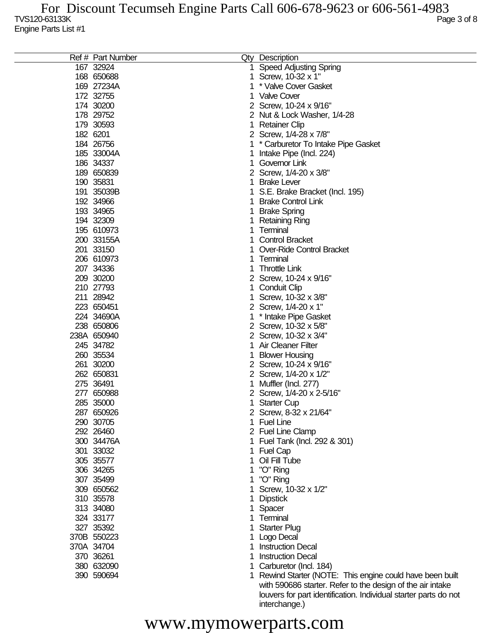|     | Ref # Part Number |    | Qty Description                                            |
|-----|-------------------|----|------------------------------------------------------------|
|     | 167 32924         | 1. | <b>Speed Adjusting Spring</b>                              |
|     | 168 650688        | 1. | Screw, 10-32 x 1"                                          |
|     | 169 27234A        | 1  | * Valve Cover Gasket                                       |
|     | 172 32755         | 1. | <b>Valve Cover</b>                                         |
|     | 174 30200         |    | 2 Screw, 10-24 x 9/16"                                     |
|     | 178 29752         |    | 2 Nut & Lock Washer, 1/4-28                                |
|     | 179 30593         | 1  | <b>Retainer Clip</b>                                       |
|     | 182 6201          |    | 2 Screw, 1/4-28 x 7/8"                                     |
|     | 184 26756         |    |                                                            |
|     |                   |    | * Carburetor To Intake Pipe Gasket                         |
|     | 185 33004A        | 1  | Intake Pipe (Incl. 224)                                    |
|     | 186 34337         | 1  | Governor Link                                              |
|     | 189 650839        |    | 2 Screw, 1/4-20 x 3/8"                                     |
|     | 190 35831         | 1  | <b>Brake Lever</b>                                         |
|     | 191 35039B        | 1  | S.E. Brake Bracket (Incl. 195)                             |
|     | 192 34966         |    | <b>Brake Control Link</b>                                  |
|     | 193 34965         |    | <b>Brake Spring</b>                                        |
|     | 194 32309         |    | <b>Retaining Ring</b>                                      |
|     | 195 610973        | 1  | Terminal                                                   |
|     | 200 33155A        | 1  | <b>Control Bracket</b>                                     |
|     | 201 33150         |    | Over-Ride Control Bracket                                  |
|     | 206 610973        | 1  | Terminal                                                   |
|     | 207 34336         | 1  | <b>Throttle Link</b>                                       |
|     | 209 30200         |    | 2 Screw, 10-24 x 9/16"                                     |
|     | 210 27793         | 1  | <b>Conduit Clip</b>                                        |
|     | 211 28942         | 1  | Screw, 10-32 x 3/8"                                        |
|     | 223 650451        |    |                                                            |
|     |                   |    | 2 Screw, 1/4-20 x 1"                                       |
|     | 224 34690A        | 1  | * Intake Pipe Gasket                                       |
|     | 238 650806        |    | 2 Screw, 10-32 x 5/8"                                      |
|     | 238A 650940       |    | 2 Screw, 10-32 x 3/4"                                      |
|     | 245 34782         | 1  | <b>Air Cleaner Filter</b>                                  |
|     | 260 35534         |    | <b>Blower Housing</b>                                      |
|     | 261 30200         |    | 2 Screw, 10-24 x 9/16"                                     |
|     | 262 650831        |    | 2 Screw, 1/4-20 x 1/2"                                     |
|     | 275 36491         |    | Muffler (Incl. 277)                                        |
| 277 | 650988            |    | 2 Screw, 1/4-20 x 2-5/16"                                  |
|     | 285 35000         |    | 1 Starter Cup                                              |
|     | 287 650926        |    | 2 Screw, 8-32 x 21/64"                                     |
|     | 290 30705         | 1. | <b>Fuel Line</b>                                           |
|     | 292 26460         |    | 2 Fuel Line Clamp                                          |
|     | 300 34476A        |    | 1 Fuel Tank (Incl. 292 & 301)                              |
|     | 301 33032         |    | <b>Fuel Cap</b>                                            |
|     | 305 35577         |    | Oil Fill Tube                                              |
|     | 306 34265         |    | "O" Ring                                                   |
|     | 307 35499         |    | "O" Ring                                                   |
|     |                   |    |                                                            |
|     | 309 650562        |    | Screw, 10-32 x 1/2"                                        |
|     | 310 35578         |    | <b>Dipstick</b>                                            |
|     | 313 34080         |    | Spacer                                                     |
|     | 324 33177         | 1  | Terminal                                                   |
|     | 327 35392         |    | <b>Starter Plug</b>                                        |
|     | 370B 550223       |    | Logo Decal                                                 |
|     | 370A 34704        | 1  | <b>Instruction Decal</b>                                   |
|     | 370 36261         | 1  | <b>Instruction Decal</b>                                   |
|     | 380 632090        | 1  | Carburetor (Incl. 184)                                     |
|     | 390 590694        |    | 1 Rewind Starter (NOTE: This engine could have been built  |
|     |                   |    | with 590686 starter. Refer to the design of the air intake |

## www.mymowerparts.com

interchange.)

louvers for part identification. Individual starter parts do not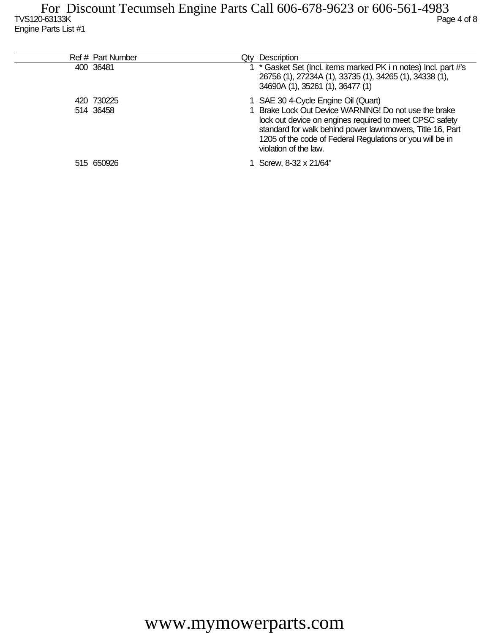| Ref # Part Number       | <b>Description</b><br>Qtv                                                                                                                                                                                                                                                                                  |
|-------------------------|------------------------------------------------------------------------------------------------------------------------------------------------------------------------------------------------------------------------------------------------------------------------------------------------------------|
| 400 36481               | * Gasket Set (Incl. items marked PK i n notes) Incl. part #'s<br>26756 (1), 27234A (1), 33735 (1), 34265 (1), 34338 (1),<br>34690A (1), 35261 (1), 36477 (1)                                                                                                                                               |
| 420 730225<br>514 36458 | 1 SAE 30 4-Cycle Engine Oil (Quart)<br>1 Brake Lock Out Device WARNING! Do not use the brake<br>lock out device on engines required to meet CPSC safety<br>standard for walk behind power lawnmowers, Title 16, Part<br>1205 of the code of Federal Regulations or you will be in<br>violation of the law. |
| 515 650926              | Screw, 8-32 x 21/64"                                                                                                                                                                                                                                                                                       |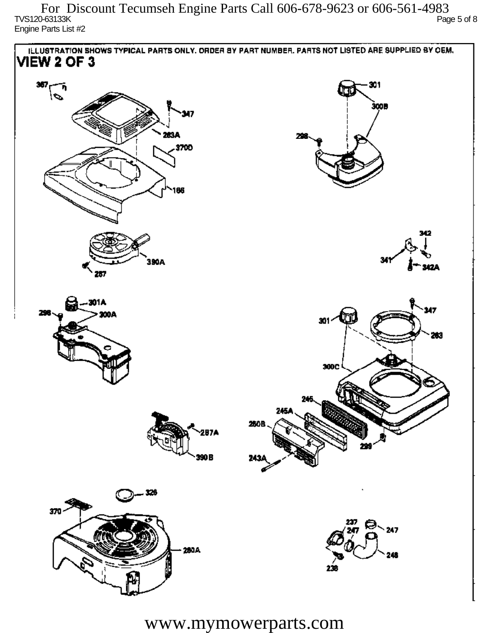$\sim$  TVS120-63133K Page 5 of 8 Engine Parts List #2 For Discount Tecumseh Engine Parts Call 606-678-9623 or 606-561-4983



www.mymowerparts.com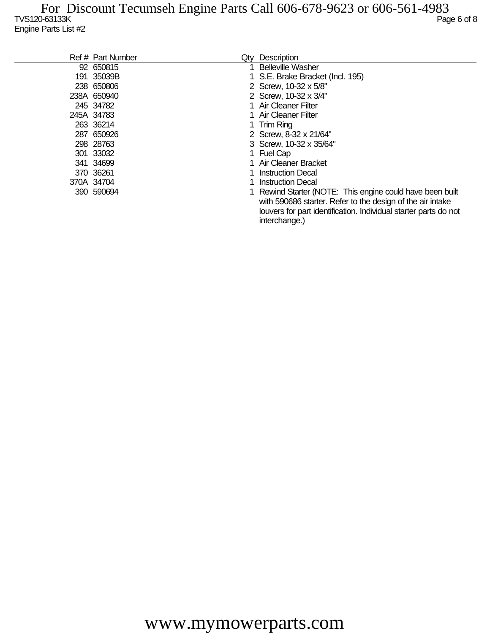| Ref # Part Number | Qtv | <b>Description</b>                                                                                                      |
|-------------------|-----|-------------------------------------------------------------------------------------------------------------------------|
| 92 650815         |     | <b>Belleville Washer</b>                                                                                                |
| 191 35039B        |     | 1 S.E. Brake Bracket (Incl. 195)                                                                                        |
| 238 650806        |     | 2 Screw, 10-32 x 5/8"                                                                                                   |
| 238A 650940       |     | 2 Screw, 10-32 x 3/4"                                                                                                   |
| 245 34782         |     | 1 Air Cleaner Filter                                                                                                    |
| 245A 34783        |     | 1 Air Cleaner Filter                                                                                                    |
| 263 36214         |     | 1 Trim Ring                                                                                                             |
| 287 650926        |     | 2 Screw, 8-32 x 21/64"                                                                                                  |
| 298 28763         |     | 3 Screw, 10-32 x 35/64"                                                                                                 |
| 301 33032         |     | 1 Fuel Cap                                                                                                              |
| 341 34699         |     | 1 Air Cleaner Bracket                                                                                                   |
| 370 36261         |     | 1 Instruction Decal                                                                                                     |
| 370A 34704        |     | 1 Instruction Decal                                                                                                     |
| 390 590694        |     | 1 Rewind Starter (NOTE: This engine could have been built<br>with 590686 starter. Refer to the design of the air intake |
|                   |     | louvers for part identification. Individual starter parts do not<br>interchange.)                                       |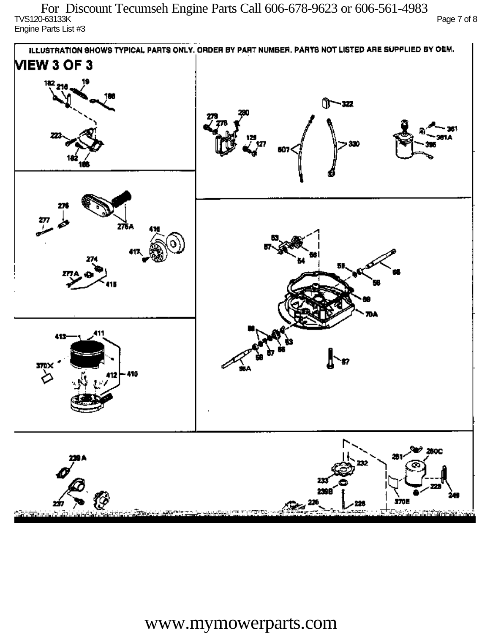